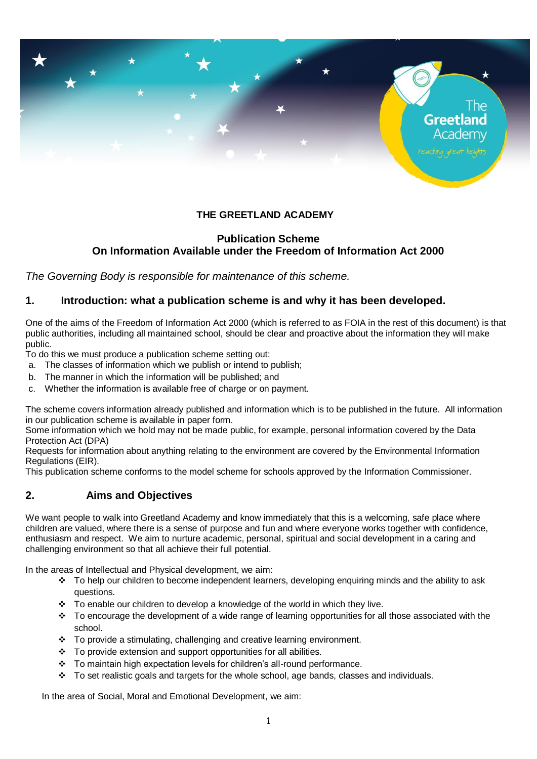

## **THE GREETLAND ACADEMY**

## **Publication Scheme On Information Available under the Freedom of Information Act 2000**

*The Governing Body is responsible for maintenance of this scheme.*

## **1. Introduction: what a publication scheme is and why it has been developed.**

One of the aims of the Freedom of Information Act 2000 (which is referred to as FOIA in the rest of this document) is that public authorities, including all maintained school, should be clear and proactive about the information they will make public.

To do this we must produce a publication scheme setting out:

- a. The classes of information which we publish or intend to publish;
- b. The manner in which the information will be published; and
- c. Whether the information is available free of charge or on payment.

The scheme covers information already published and information which is to be published in the future. All information in our publication scheme is available in paper form.

Some information which we hold may not be made public, for example, personal information covered by the Data Protection Act (DPA)

Requests for information about anything relating to the environment are covered by the Environmental Information Regulations (EIR).

This publication scheme conforms to the model scheme for schools approved by the Information Commissioner.

## **2. Aims and Objectives**

We want people to walk into Greetland Academy and know immediately that this is a welcoming, safe place where children are valued, where there is a sense of purpose and fun and where everyone works together with confidence, enthusiasm and respect. We aim to nurture academic, personal, spiritual and social development in a caring and challenging environment so that all achieve their full potential.

In the areas of Intellectual and Physical development, we aim:

- To help our children to become independent learners, developing enquiring minds and the ability to ask questions.
- $\div$  To enable our children to develop a knowledge of the world in which they live.
- \* To encourage the development of a wide range of learning opportunities for all those associated with the school.
- To provide a stimulating, challenging and creative learning environment.
- $\div$  To provide extension and support opportunities for all abilities.
- \* To maintain high expectation levels for children's all-round performance.
- To set realistic goals and targets for the whole school, age bands, classes and individuals.

In the area of Social, Moral and Emotional Development, we aim: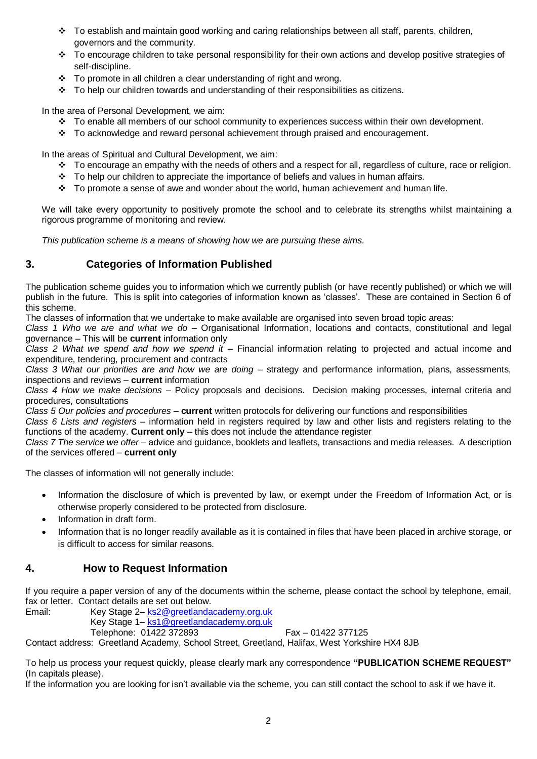- To establish and maintain good working and caring relationships between all staff, parents, children, governors and the community.
- \* To encourage children to take personal responsibility for their own actions and develop positive strategies of self-discipline.
- To promote in all children a clear understanding of right and wrong.
- $\cdot \cdot$  To help our children towards and understanding of their responsibilities as citizens.

In the area of Personal Development, we aim:

- To enable all members of our school community to experiences success within their own development.
- To acknowledge and reward personal achievement through praised and encouragement.

In the areas of Spiritual and Cultural Development, we aim:

- To encourage an empathy with the needs of others and a respect for all, regardless of culture, race or religion.
- $\cdot \cdot$  To help our children to appreciate the importance of beliefs and values in human affairs.
- $\cdot \cdot$  To promote a sense of awe and wonder about the world, human achievement and human life.

We will take every opportunity to positively promote the school and to celebrate its strengths whilst maintaining a rigorous programme of monitoring and review.

*This publication scheme is a means of showing how we are pursuing these aims.*

# **3. Categories of Information Published**

The publication scheme guides you to information which we currently publish (or have recently published) or which we will publish in the future. This is split into categories of information known as 'classes'. These are contained in Section 6 of this scheme.

The classes of information that we undertake to make available are organised into seven broad topic areas:

*Class 1 Who we are and what we do –* Organisational Information, locations and contacts, constitutional and legal governance – This will be **current** information only

*Class 2 What we spend and how we spend it –* Financial information relating to projected and actual income and expenditure, tendering, procurement and contracts

*Class 3 What our priorities are and how we are doing –* strategy and performance information, plans, assessments, inspections and reviews – **current** information

*Class 4 How we make decisions –* Policy proposals and decisions. Decision making processes, internal criteria and procedures, consultations

*Class 5 Our policies and procedures –* **current** written protocols for delivering our functions and responsibilities

*Class 6 Lists and registers* – information held in registers required by law and other lists and registers relating to the functions of the academy. **Current only** – this does not include the attendance register

*Class 7 The service we offer –* advice and guidance, booklets and leaflets, transactions and media releases. A description of the services offered – **current only**

The classes of information will not generally include:

- Information the disclosure of which is prevented by law, or exempt under the Freedom of Information Act, or is otherwise properly considered to be protected from disclosure.
- Information in draft form.
- Information that is no longer readily available as it is contained in files that have been placed in archive storage, or is difficult to access for similar reasons.

## **4. How to Request Information**

If you require a paper version of any of the documents within the scheme, please contact the school by telephone, email, fax or letter. Contact details are set out below.

Email: Key Stage 2– [ks2@greetlandacademy.org.uk](mailto:ks2@greetlandacademy.org.uk)

Key Stage 1– [ks1@greetlandacademy.org.uk](mailto:ks1@greetlandacademy.org.uk) 

Telephone: 01422 372893 Fax – 01422 377125

Contact address: Greetland Academy, School Street, Greetland, Halifax, West Yorkshire HX4 8JB

To help us process your request quickly, please clearly mark any correspondence **"PUBLICATION SCHEME REQUEST"**  (In capitals please).

If the information you are looking for isn't available via the scheme, you can still contact the school to ask if we have it.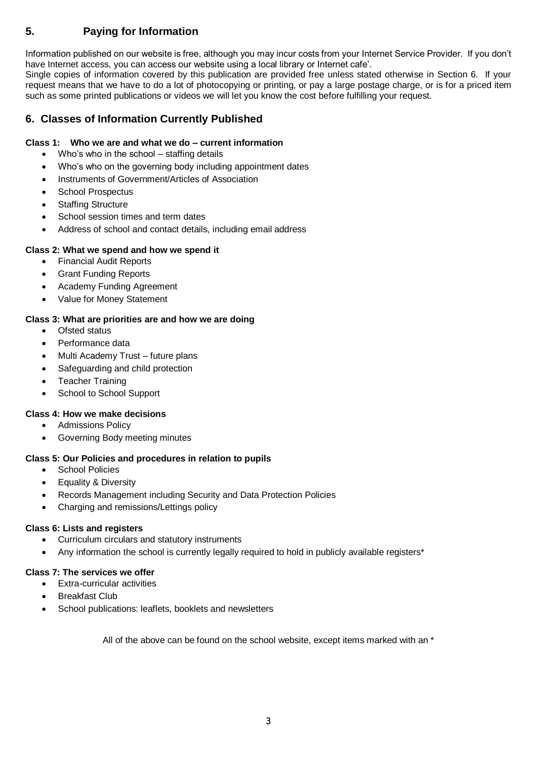# **5. Paying for Information**

Information published on our website is free, although you may incur costs from your Internet Service Provider. If you don't have Internet access, you can access our website using a local library or Internet cafe'.

Single copies of information covered by this publication are provided free unless stated otherwise in Section 6. If your request means that we have to do a lot of photocopying or printing, or pay a large postage charge, or is for a priced item such as some printed publications or videos we will let you know the cost before fulfilling your request.

## **6. Classes of Information Currently Published**

### **Class 1: Who we are and what we do – current information**

- Who's who in the school staffing details
- Who's who on the governing body including appointment dates
- Instruments of Government/Articles of Association
- School Prospectus
- Staffing Structure
- School session times and term dates
- Address of school and contact details, including email address

### **Class 2: What we spend and how we spend it**

- Financial Audit Reports
- Grant Funding Reports
- Academy Funding Agreement
- Value for Money Statement

### **Class 3: What are priorities are and how we are doing**

- Ofsted status
- Performance data
- Multi Academy Trust future plans
- Safeguarding and child protection
- Teacher Training
- School to School Support

### **Class 4: How we make decisions**

- Admissions Policy
- Governing Body meeting minutes

#### **Class 5: Our Policies and procedures in relation to pupils**

- School Policies
- **•** Equality & Diversity
- Records Management including Security and Data Protection Policies
- Charging and remissions/Lettings policy

#### **Class 6: Lists and registers**

- Curriculum circulars and statutory instruments
- Any information the school is currently legally required to hold in publicly available registers\*

#### **Class 7: The services we offer**

- Extra-curricular activities
- Breakfast Club
- School publications: leaflets, booklets and newsletters

All of the above can be found on the school website, except items marked with an \*